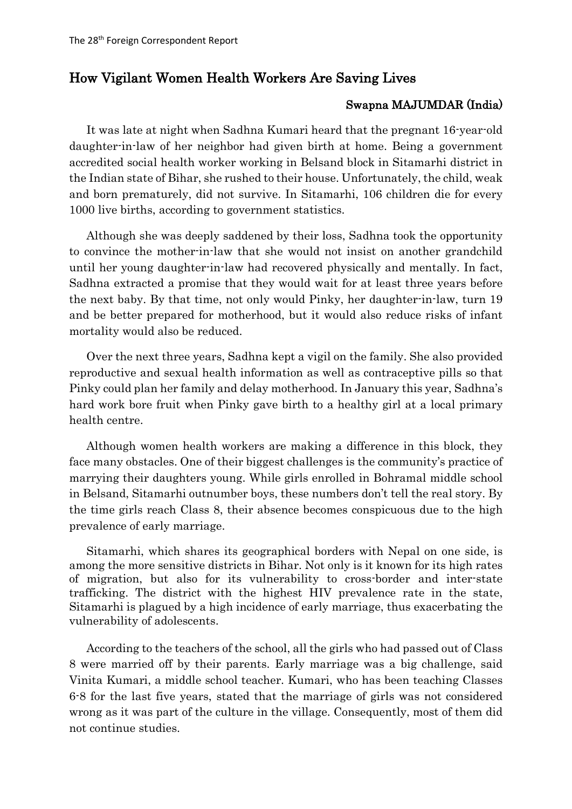## How Vigilant Women Health Workers Are Saving Lives

## Swapna MAJUMDAR (India)

It was late at night when Sadhna Kumari heard that the pregnant 16-year-old daughter-in-law of her neighbor had given birth at home. Being a government accredited social health worker working in Belsand block in Sitamarhi district in the Indian state of Bihar, she rushed to their house. Unfortunately, the child, weak and born prematurely, did not survive. In Sitamarhi, 106 children die for every 1000 live births, according to government statistics.

Although she was deeply saddened by their loss, Sadhna took the opportunity to convince the mother-in-law that she would not insist on another grandchild until her young daughter-in-law had recovered physically and mentally. In fact, Sadhna extracted a promise that they would wait for at least three years before the next baby. By that time, not only would Pinky, her daughter-in-law, turn 19 and be better prepared for motherhood, but it would also reduce risks of infant mortality would also be reduced.

Over the next three years, Sadhna kept a vigil on the family. She also provided reproductive and sexual health information as well as contraceptive pills so that Pinky could plan her family and delay motherhood. In January this year, Sadhna's hard work bore fruit when Pinky gave birth to a healthy girl at a local primary health centre.

Although women health workers are making a difference in this block, they face many obstacles. One of their biggest challenges is the community's practice of marrying their daughters young. While girls enrolled in Bohramal middle school in Belsand, Sitamarhi outnumber boys, these numbers don't tell the real story. By the time girls reach Class 8, their absence becomes conspicuous due to the high prevalence of early marriage.

Sitamarhi, which shares its geographical borders with Nepal on one side, is among the more sensitive districts in Bihar. Not only is it known for its high rates of migration, but also for its vulnerability to cross-border and inter-state trafficking. The district with the highest HIV prevalence rate in the state, Sitamarhi is plagued by a high incidence of early marriage, thus exacerbating the vulnerability of adolescents.

According to the teachers of the school, all the girls who had passed out of Class 8 were married off by their parents. Early marriage was a big challenge, said Vinita Kumari, a middle school teacher. Kumari, who has been teaching Classes 6-8 for the last five years, stated that the marriage of girls was not considered wrong as it was part of the culture in the village. Consequently, most of them did not continue studies.